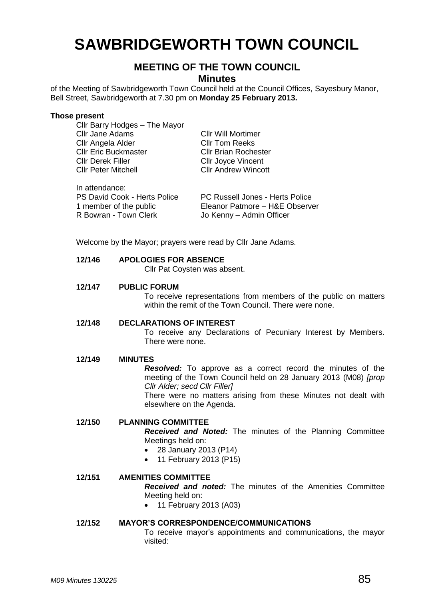# **SAWBRIDGEWORTH TOWN COUNCIL**

# **MEETING OF THE TOWN COUNCIL**

**Minutes**

of the Meeting of Sawbridgeworth Town Council held at the Council Offices, Sayesbury Manor, Bell Street, Sawbridgeworth at 7.30 pm on **Monday 25 February 2013.**

#### **Those present** Cllr Barry Hodges – The Mayor

| UIII Dally Houges - The Mayor       |                                 |
|-------------------------------------|---------------------------------|
| <b>Cllr Jane Adams</b>              | <b>CIIr Will Mortimer</b>       |
| Cllr Angela Alder                   | <b>CIIr Tom Reeks</b>           |
| <b>Cllr Eric Buckmaster</b>         | <b>Cllr Brian Rochester</b>     |
| <b>Cllr Derek Filler</b>            | <b>Cllr Joyce Vincent</b>       |
| <b>CIIr Peter Mitchell</b>          | <b>Cllr Andrew Wincott</b>      |
|                                     |                                 |
| In attendance:                      |                                 |
| <b>PS David Cook - Herts Police</b> | PC Russell Jones - Herts Police |
| 1 member of the public              | Eleanor Patmore - H&E Observer  |
| R Bowran - Town Clerk               | Jo Kenny - Admin Officer        |
|                                     |                                 |

Welcome by the Mayor; prayers were read by Cllr Jane Adams.

#### **12/146 APOLOGIES FOR ABSENCE**

Cllr Pat Coysten was absent.

### **12/147 PUBLIC FORUM**

To receive representations from members of the public on matters within the remit of the Town Council. There were none.

#### **12/148 DECLARATIONS OF INTEREST**

To receive any Declarations of Pecuniary Interest by Members. There were none.

#### **12/149 MINUTES**

*Resolved:* To approve as a correct record the minutes of the meeting of the Town Council held on 28 January 2013 (M08) *[prop Cllr Alder; secd Cllr Filler]*

There were no matters arising from these Minutes not dealt with elsewhere on the Agenda.

#### **12/150 PLANNING COMMITTEE**

*Received and Noted:* The minutes of the Planning Committee Meetings held on:

- 28 January 2013 (P14)
- 11 February 2013 (P15)

# **12/151 AMENITIES COMMITTEE**

*Received and noted:* The minutes of the Amenities Committee Meeting held on:

• 11 February 2013 (A03)

#### **12/152 MAYOR'S CORRESPONDENCE/COMMUNICATIONS**

To receive mayor's appointments and communications, the mayor visited: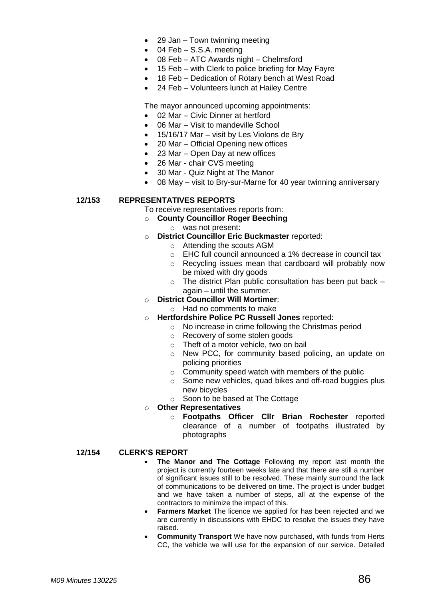- 29 Jan Town twinning meeting
- 04 Feb S.S.A. meeting
- 08 Feb ATC Awards night Chelmsford
- 15 Feb with Clerk to police briefing for May Fayre
- 18 Feb Dedication of Rotary bench at West Road
- 24 Feb Volunteers lunch at Hailey Centre

The mayor announced upcoming appointments:

- 02 Mar Civic Dinner at hertford
- 06 Mar Visit to mandeville School
- 15/16/17 Mar visit by Les Violons de Bry
- 20 Mar Official Opening new offices
- 23 Mar Open Day at new offices
- 26 Mar chair CVS meeting
- 30 Mar Quiz Night at The Manor
- 08 May visit to Bry-sur-Marne for 40 year twinning anniversary

# **12/153 REPRESENTATIVES REPORTS**

To receive representatives reports from:

- o **County Councillor Roger Beeching** o was not present:
- o **District Councillor Eric Buckmaster** reported:
	- o Attending the scouts AGM
	- o EHC full council announced a 1% decrease in council tax
	- o Recycling issues mean that cardboard will probably now be mixed with dry goods
	- $\circ$  The district Plan public consultation has been put back again – until the summer.
- o **District Councillor Will Mortimer**:
	- o Had no comments to make
- o **Hertfordshire Police PC Russell Jones** reported:
	- o No increase in crime following the Christmas period
	- o Recovery of some stolen goods
	- o Theft of a motor vehicle, two on bail
	- o New PCC, for community based policing, an update on policing priorities
	- $\circ$  Community speed watch with members of the public
	- o Some new vehicles, quad bikes and off-road buggies plus new bicycles
	- o Soon to be based at The Cottage
- o **Other Representatives**
	- o **Footpaths Officer Cllr Brian Rochester** reported clearance of a number of footpaths illustrated by photographs

#### **12/154 CLERK'S REPORT**

- **The Manor and The Cottage** Following my report last month the project is currently fourteen weeks late and that there are still a number of significant issues still to be resolved. These mainly surround the lack of communications to be delivered on time. The project is under budget and we have taken a number of steps, all at the expense of the contractors to minimize the impact of this.
- **Farmers Market** The licence we applied for has been rejected and we are currently in discussions with EHDC to resolve the issues they have raised.
- **Community Transport** We have now purchased, with funds from Herts CC, the vehicle we will use for the expansion of our service. Detailed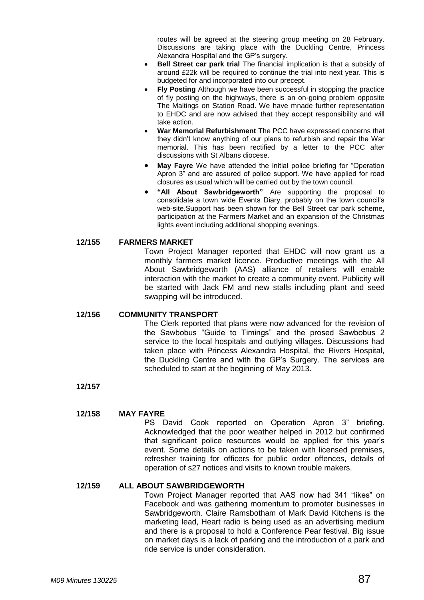routes will be agreed at the steering group meeting on 28 February. Discussions are taking place with the Duckling Centre, Princess Alexandra Hospital and the GP's surgery.

- **Bell Street car park trial** The financial implication is that a subsidy of around £22k will be required to continue the trial into next year. This is budgeted for and incorporated into our precept.
- **Fly Posting** Although we have been successful in stopping the practice of fly posting on the highways, there is an on-going problem opposite The Maltings on Station Road. We have mnade further representation to EHDC and are now advised that they accept responsibility and will take action.
- **War Memorial Refurbishment** The PCC have expressed concerns that they didn't know anything of our plans to refurbish and repair the War memorial. This has been rectified by a letter to the PCC after discussions with St Albans diocese.
- **May Fayre** We have attended the initial police briefing for "Operation Apron 3" and are assured of police support. We have applied for road closures as usual which will be carried out by the town council.
- **"All About Sawbridgeworth"** Are supporting the proposal to consolidate a town wide Events Diary, probably on the town council's web-site.Support has been shown for the Bell Street car park scheme, participation at the Farmers Market and an expansion of the Christmas lights event including additional shopping evenings.

# **12/155 FARMERS MARKET**

Town Project Manager reported that EHDC will now grant us a monthly farmers market licence. Productive meetings with the All About Sawbridgeworth (AAS) alliance of retailers will enable interaction with the market to create a community event. Publicity will be started with Jack FM and new stalls including plant and seed swapping will be introduced.

# **12/156 COMMUNITY TRANSPORT**

The Clerk reported that plans were now advanced for the revision of the Sawbobus "Guide to Timings" and the prosed Sawbobus 2 service to the local hospitals and outlying villages. Discussions had taken place with Princess Alexandra Hospital, the Rivers Hospital, the Duckling Centre and with the GP's Surgery. The services are scheduled to start at the beginning of May 2013.

**12/157**

# **12/158 MAY FAYRE**

PS David Cook reported on Operation Apron 3" briefing. Acknowledged that the poor weather helped in 2012 but confirmed that significant police resources would be applied for this year's event. Some details on actions to be taken with licensed premises, refresher training for officers for public order offences, details of operation of s27 notices and visits to known trouble makers.

# **12/159 ALL ABOUT SAWBRIDGEWORTH**

Town Project Manager reported that AAS now had 341 "likes" on Facebook and was gathering momentum to promoter businesses in Sawbridgeworth. Claire Ramsbotham of Mark David Kitchens is the marketing lead, Heart radio is being used as an advertising medium and there is a proposal to hold a Conference Pear festival. Big issue on market days is a lack of parking and the introduction of a park and ride service is under consideration.